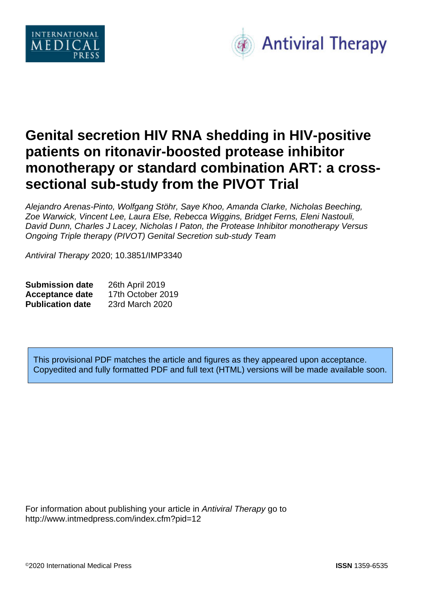



# **Genital secretion HIV RNA shedding in HIV-positive patients on ritonavir-boosted protease inhibitor monotherapy or standard combination ART: a crosssectional sub-study from the PIVOT Trial**

*Alejandro Arenas-Pinto, Wolfgang Stöhr, Saye Khoo, Amanda Clarke, Nicholas Beeching, Zoe Warwick, Vincent Lee, Laura Else, Rebecca Wiggins, Bridget Ferns, Eleni Nastouli, David Dunn, Charles J Lacey, Nicholas I Paton, the Protease Inhibitor monotherapy Versus Ongoing Triple therapy (PIVOT) Genital Secretion sub-study Team*

*Antiviral Therapy* 2020; 10.3851/IMP3340

| <b>Submission date</b>  | 26th April 2019   |
|-------------------------|-------------------|
| <b>Acceptance date</b>  | 17th October 2019 |
| <b>Publication date</b> | 23rd March 2020   |

This provisional PDF matches the article and figures as they appeared upon acceptance. Copyedited and fully formatted PDF and full text (HTML) versions will be made available soon.

For information about publishing your article in *Antiviral Therapy* go to http://www.intmedpress.com/index.cfm?pid=12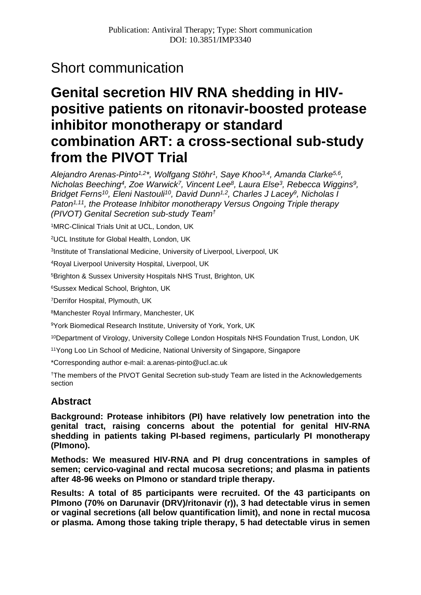# Short communication

# **Genital secretion HIV RNA shedding in HIVpositive patients on ritonavir-boosted protease inhibitor monotherapy or standard combination ART: a cross-sectional sub-study from the PIVOT Trial**

*Alejandro Arenas-Pinto1,2\*, Wolfgang Stöhr1, Saye Khoo3,4, Amanda Clarke5,6, Nicholas Beeching4, Zoe Warwick7, Vincent Lee8, Laura Else3, Rebecca Wiggins9, Bridget Ferns10, Eleni Nastouli10, David Dunn1,2, Charles J Lacey9, Nicholas I Paton<sup>1,11</sup>, the Protease Inhibitor monotherapy Versus Ongoing Triple therapy (PIVOT) Genital Secretion sub-study Team†*

1MRC-Clinical Trials Unit at UCL, London, UK

2UCL Institute for Global Health, London, UK

3Institute of Translational Medicine, University of Liverpool, Liverpool, UK

4Royal Liverpool University Hospital, Liverpool, UK

5Brighton & Sussex University Hospitals NHS Trust, Brighton, UK

6Sussex Medical School, Brighton, UK

7Derrifor Hospital, Plymouth, UK

8Manchester Royal Infirmary, Manchester, UK

9York Biomedical Research Institute, University of York, York, UK

<sup>10</sup>Department of Virology, University College London Hospitals NHS Foundation Trust, London, UK

11Yong Loo Lin School of Medicine, National University of Singapore, Singapore

\*Corresponding author e-mail: a.arenas-pinto@ucl.ac.uk

†The members of the PIVOT Genital Secretion sub-study Team are listed in the Acknowledgements section

# **Abstract**

**Background: Protease inhibitors (PI) have relatively low penetration into the genital tract, raising concerns about the potential for genital HIV-RNA shedding in patients taking PI-based regimens, particularly PI monotherapy (PImono).**

**Methods: We measured HIV-RNA and PI drug concentrations in samples of semen; cervico-vaginal and rectal mucosa secretions; and plasma in patients after 48-96 weeks on PImono or standard triple therapy.**

**Results: A total of 85 participants were recruited. Of the 43 participants on PImono (70% on Darunavir (DRV)/ritonavir (r)), 3 had detectable virus in semen or vaginal secretions (all below quantification limit), and none in rectal mucosa or plasma. Among those taking triple therapy, 5 had detectable virus in semen**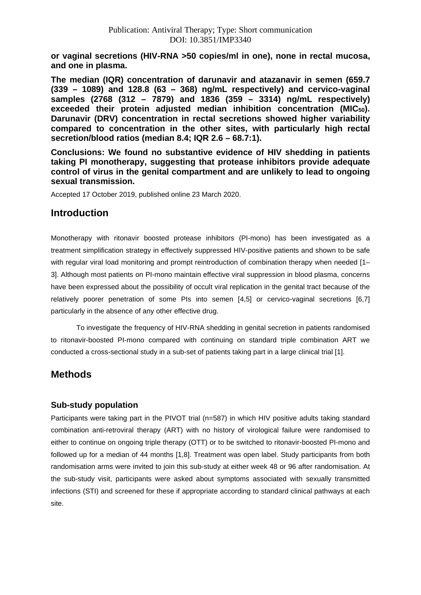**or vaginal secretions (HIV-RNA >50 copies/ml in one), none in rectal mucosa, and one in plasma.**

**The median (IQR) concentration of darunavir and atazanavir in semen (659.7 (339 – 1089) and 128.8 (63 – 368) ng/mL respectively) and cervico-vaginal samples (2768 (312 – 7879) and 1836 (359 – 3314) ng/mL respectively) exceeded their protein adjusted median inhibition concentration (MIC50). Darunavir (DRV) concentration in rectal secretions showed higher variability compared to concentration in the other sites, with particularly high rectal secretion/blood ratios (median 8.4; IQR 2.6 – 68.7:1).**

**Conclusions: We found no substantive evidence of HIV shedding in patients taking PI monotherapy, suggesting that protease inhibitors provide adequate control of virus in the genital compartment and are unlikely to lead to ongoing sexual transmission.**

Accepted 17 October 2019, published online 23 March 2020.

# **Introduction**

Monotherapy with ritonavir boosted protease inhibitors (PI-mono) has been investigated as a treatment simplification strategy in effectively suppressed HIV-positive patients and shown to be safe with regular viral load monitoring and prompt reintroduction of combination therapy when needed [1-3]. Although most patients on PI-mono maintain effective viral suppression in blood plasma, concerns have been expressed about the possibility of occult viral replication in the genital tract because of the relatively poorer penetration of some PIs into semen [4,5] or cervico-vaginal secretions [6,7] particularly in the absence of any other effective drug.

To investigate the frequency of HIV-RNA shedding in genital secretion in patients randomised to ritonavir-boosted PI-mono compared with continuing on standard triple combination ART we conducted a cross-sectional study in a sub-set of patients taking part in a large clinical trial [1].

# **Methods**

# **Sub-study population**

Participants were taking part in the PIVOT trial (n=587) in which HIV positive adults taking standard combination anti-retroviral therapy (ART) with no history of virological failure were randomised to either to continue on ongoing triple therapy (OTT) or to be switched to ritonavir-boosted PI-mono and followed up for a median of 44 months [1,8]. Treatment was open label. Study participants from both randomisation arms were invited to join this sub-study at either week 48 or 96 after randomisation. At the sub-study visit, participants were asked about symptoms associated with sexually transmitted infections (STI) and screened for these if appropriate according to standard clinical pathways at each site.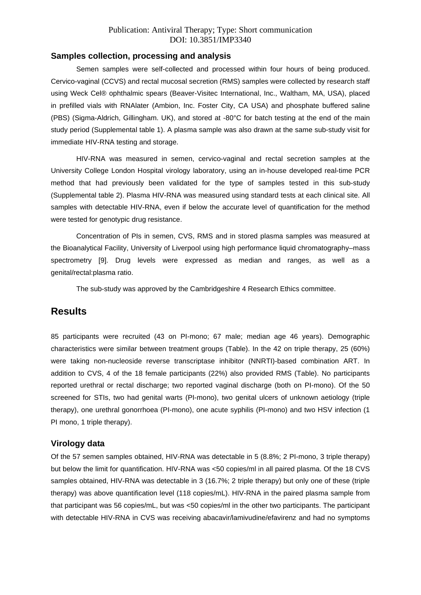#### **Samples collection, processing and analysis**

Semen samples were self-collected and processed within four hours of being produced. Cervico-vaginal (CCVS) and rectal mucosal secretion (RMS) samples were collected by research staff using Weck Cel® ophthalmic spears (Beaver-Visitec International, Inc., Waltham, MA, USA), placed in prefilled vials with RNAlater (Ambion, Inc. Foster City, CA USA) and phosphate buffered saline (PBS) (Sigma-Aldrich, Gillingham. UK), and stored at -80°C for batch testing at the end of the main study period (Supplemental table 1). A plasma sample was also drawn at the same sub-study visit for immediate HIV-RNA testing and storage.

HIV-RNA was measured in semen, cervico-vaginal and rectal secretion samples at the University College London Hospital virology laboratory, using an in-house developed real-time PCR method that had previously been validated for the type of samples tested in this sub-study (Supplemental table 2). Plasma HIV-RNA was measured using standard tests at each clinical site. All samples with detectable HIV-RNA, even if below the accurate level of quantification for the method were tested for genotypic drug resistance.

Concentration of PIs in semen, CVS, RMS and in stored plasma samples was measured at the Bioanalytical Facility, University of Liverpool using high performance liquid chromatography–mass spectrometry [9]. Drug levels were expressed as median and ranges, as well as a genital/rectal:plasma ratio.

The sub-study was approved by the Cambridgeshire 4 Research Ethics committee.

# **Results**

85 participants were recruited (43 on PI-mono; 67 male; median age 46 years). Demographic characteristics were similar between treatment groups (Table). In the 42 on triple therapy, 25 (60%) were taking non-nucleoside reverse transcriptase inhibitor (NNRTI)-based combination ART. In addition to CVS, 4 of the 18 female participants (22%) also provided RMS (Table). No participants reported urethral or rectal discharge; two reported vaginal discharge (both on PI-mono). Of the 50 screened for STIs, two had genital warts (PI-mono), two genital ulcers of unknown aetiology (triple therapy), one urethral gonorrhoea (PI-mono), one acute syphilis (PI-mono) and two HSV infection (1 PI mono, 1 triple therapy).

#### **Virology data**

Of the 57 semen samples obtained, HIV-RNA was detectable in 5 (8.8%; 2 PI-mono, 3 triple therapy) but below the limit for quantification. HIV-RNA was <50 copies/ml in all paired plasma. Of the 18 CVS samples obtained, HIV-RNA was detectable in 3 (16.7%; 2 triple therapy) but only one of these (triple therapy) was above quantification level (118 copies/mL). HIV-RNA in the paired plasma sample from that participant was 56 copies/mL, but was <50 copies/ml in the other two participants. The participant with detectable HIV-RNA in CVS was receiving abacavir/lamivudine/efavirenz and had no symptoms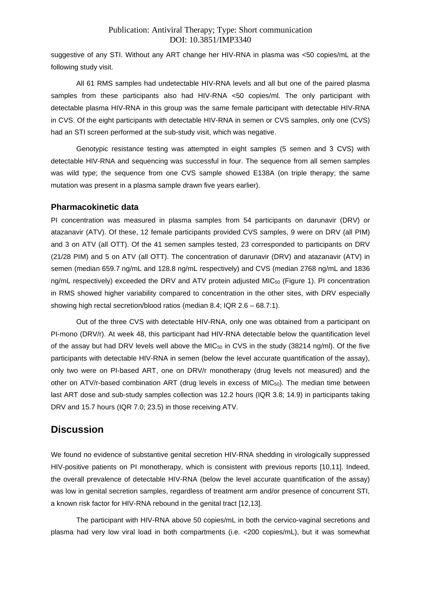suggestive of any STI. Without any ART change her HIV-RNA in plasma was <50 copies/mL at the following study visit.

All 61 RMS samples had undetectable HIV-RNA levels and all but one of the paired plasma samples from these participants also had HIV-RNA <50 copies/ml. The only participant with detectable plasma HIV-RNA in this group was the same female participant with detectable HIV-RNA in CVS. Of the eight participants with detectable HIV-RNA in semen or CVS samples, only one (CVS) had an STI screen performed at the sub-study visit, which was negative.

Genotypic resistance testing was attempted in eight samples (5 semen and 3 CVS) with detectable HIV-RNA and sequencing was successful in four. The sequence from all semen samples was wild type; the sequence from one CVS sample showed E138A (on triple therapy; the same mutation was present in a plasma sample drawn five years earlier).

#### **Pharmacokinetic data**

PI concentration was measured in plasma samples from 54 participants on darunavir (DRV) or atazanavir (ATV). Of these, 12 female participants provided CVS samples, 9 were on DRV (all PIM) and 3 on ATV (all OTT). Of the 41 semen samples tested, 23 corresponded to participants on DRV (21/28 PIM) and 5 on ATV (all OTT). The concentration of darunavir (DRV) and atazanavir (ATV) in semen (median 659.7 ng/mL and 128.8 ng/mL respectively) and CVS (median 2768 ng/mL and 1836 ng/mL respectively) exceeded the DRV and ATV protein adjusted MIC<sub>50</sub> (Figure 1). PI concentration in RMS showed higher variability compared to concentration in the other sites, with DRV especially showing high rectal secretion/blood ratios (median 8.4; IQR 2.6 – 68.7:1).

Out of the three CVS with detectable HIV-RNA, only one was obtained from a participant on PI-mono (DRV/r). At week 48, this participant had HIV-RNA detectable below the quantification level of the assay but had DRV levels well above the MIC<sub>50</sub> in CVS in the study (38214 ng/ml). Of the five participants with detectable HIV-RNA in semen (below the level accurate quantification of the assay), only two were on PI-based ART, one on DRV/r monotherapy (drug levels not measured) and the other on ATV/r-based combination ART (drug levels in excess of MIC<sub>50</sub>). The median time between last ART dose and sub-study samples collection was 12.2 hours (IQR 3.8; 14.9) in participants taking DRV and 15.7 hours (IQR 7.0; 23.5) in those receiving ATV.

# **Discussion**

We found no evidence of substantive genital secretion HIV-RNA shedding in virologically suppressed HIV-positive patients on PI monotherapy, which is consistent with previous reports [10,11]. Indeed, the overall prevalence of detectable HIV-RNA (below the level accurate quantification of the assay) was low in genital secretion samples, regardless of treatment arm and/or presence of concurrent STI, a known risk factor for HIV-RNA rebound in the genital tract [12,13].

The participant with HIV-RNA above 50 copies/mL in both the cervico-vaginal secretions and plasma had very low viral load in both compartments (i.e. <200 copies/mL), but it was somewhat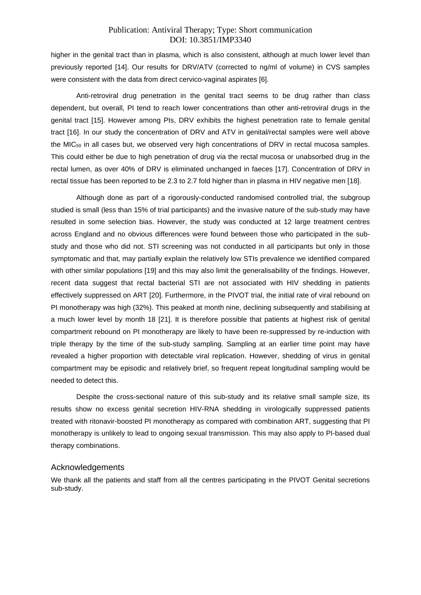higher in the genital tract than in plasma, which is also consistent, although at much lower level than previously reported [14]. Our results for DRV/ATV (corrected to ng/ml of volume) in CVS samples were consistent with the data from direct cervico-vaginal aspirates [6].

Anti-retroviral drug penetration in the genital tract seems to be drug rather than class dependent, but overall, PI tend to reach lower concentrations than other anti-retroviral drugs in the genital tract [15]. However among PIs, DRV exhibits the highest penetration rate to female genital tract [16]. In our study the concentration of DRV and ATV in genital/rectal samples were well above the  $MIC<sub>50</sub>$  in all cases but, we observed very high concentrations of DRV in rectal mucosa samples. This could either be due to high penetration of drug via the rectal mucosa or unabsorbed drug in the rectal lumen, as over 40% of DRV is eliminated unchanged in faeces [17]. Concentration of DRV in rectal tissue has been reported to be 2.3 to 2.7 fold higher than in plasma in HIV negative men [18].

Although done as part of a rigorously-conducted randomised controlled trial, the subgroup studied is small (less than 15% of trial participants) and the invasive nature of the sub-study may have resulted in some selection bias. However, the study was conducted at 12 large treatment centres across England and no obvious differences were found between those who participated in the substudy and those who did not. STI screening was not conducted in all participants but only in those symptomatic and that, may partially explain the relatively low STIs prevalence we identified compared with other similar populations [19] and this may also limit the generalisability of the findings. However, recent data suggest that rectal bacterial STI are not associated with HIV shedding in patients effectively suppressed on ART [20]. Furthermore, in the PIVOT trial, the initial rate of viral rebound on PI monotherapy was high (32%). This peaked at month nine, declining subsequently and stabilising at a much lower level by month 18 [21]. It is therefore possible that patients at highest risk of genital compartment rebound on PI monotherapy are likely to have been re-suppressed by re-induction with triple therapy by the time of the sub-study sampling. Sampling at an earlier time point may have revealed a higher proportion with detectable viral replication. However, shedding of virus in genital compartment may be episodic and relatively brief, so frequent repeat longitudinal sampling would be needed to detect this.

Despite the cross-sectional nature of this sub-study and its relative small sample size, its results show no excess genital secretion HIV-RNA shedding in virologically suppressed patients treated with ritonavir-boosted PI monotherapy as compared with combination ART, suggesting that PI monotherapy is unlikely to lead to ongoing sexual transmission. This may also apply to PI-based dual therapy combinations.

#### Acknowledgements

We thank all the patients and staff from all the centres participating in the PIVOT Genital secretions sub-study.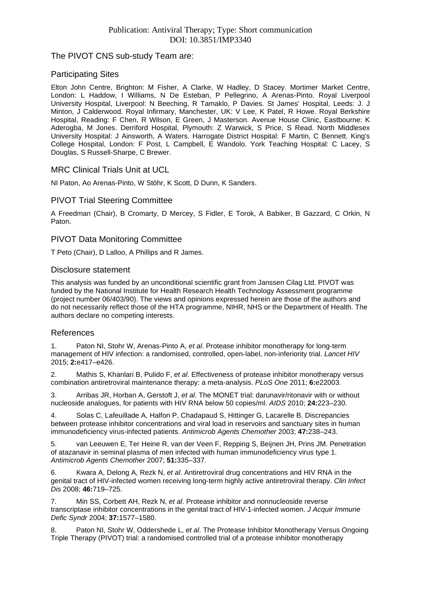## The PIVOT CNS sub-study Team are:

#### Participating Sites

Elton John Centre, Brighton: M Fisher, A Clarke, W Hadley, D Stacey. Mortimer Market Centre, London: L Haddow, I Williams, N De Esteban, P Pellegrino, A Arenas-Pinto. Royal Liverpool University Hospital, Liverpool: N Beeching, R Tamaklo, P Davies. St James' Hospital, Leeds: J. J Minton, J Calderwood. Royal Infirmary, Manchester, UK: V Lee, K Patel, R Howe. Royal Berkshire Hospital, Reading: F Chen, R Wilson, E Green, J Masterson. Avenue House Clinic, Eastbourne: K Aderogba, M Jones. Derriford Hospital, Plymouth: Z Warwick, S Price, S Read. North Middlesex University Hospital: J Ainsworth, A Waters. Harrogate District Hospital: F Martin, C Bennett. King's College Hospital, London: F Post, L Campbell, E Wandolo. York Teaching Hospital: C Lacey, S Douglas, S Russell-Sharpe, C Brewer.

## MRC Clinical Trials Unit at UCL

NI Paton, Ao Arenas-Pinto, W Stöhr, K Scott, D Dunn, K Sanders.

## PIVOT Trial Steering Committee

A Freedman (Chair), B Cromarty, D Mercey, S Fidler, E Torok, A Babiker, B Gazzard, C Orkin, N Paton.

## PIVOT Data Monitoring Committee

T Peto (Chair), D Lalloo, A Phillips and R James.

#### Disclosure statement

This analysis was funded by an unconditional scientific grant from Janssen Cilag Ltd. PIVOT was funded by the National Institute for Health Research Health Technology Assessment programme (project number 06/403/90). The views and opinions expressed herein are those of the authors and do not necessarily reflect those of the HTA programme, NIHR, NHS or the Department of Health. The authors declare no competing interests.

#### References

1. Paton NI, Stohr W, Arenas-Pinto A, *et al*. Protease inhibitor monotherapy for long-term management of HIV infection: a randomised, controlled, open-label, non-inferiority trial. *Lancet HIV* 2015; **2:**e417–e426.

2. Mathis S, Khanlari B, Pulido F, *et al*. Effectiveness of protease inhibitor monotherapy versus combination antiretroviral maintenance therapy: a meta-analysis. *PLoS One* 2011; **6:**e22003.

3. Arribas JR, Horban A, Gerstoft J, *et al*. The MONET trial: darunavir/ritonavir with or without nucleoside analogues, for patients with HIV RNA below 50 copies/ml. *AIDS* 2010; **24:**223–230.

4. Solas C, Lafeuillade A, Halfon P, Chadapaud S, Hittinger G, Lacarelle B. Discrepancies between protease inhibitor concentrations and viral load in reservoirs and sanctuary sites in human immunodeficiency virus-infected patients. *Antimicrob Agents Chemother* 2003; **47:**238–243.

5. van Leeuwen E, Ter Heine R, van der Veen F, Repping S, Beijnen JH, Prins JM. Penetration of atazanavir in seminal plasma of men infected with human immunodeficiency virus type 1. *Antimicrob Agents Chemother* 2007; **51:**335–337.

6. Kwara A, Delong A, Rezk N, *et al*. Antiretroviral drug concentrations and HIV RNA in the genital tract of HIV-infected women receiving long-term highly active antiretroviral therapy. *Clin Infect Dis* 2008; **46:**719–725.

7. Min SS, Corbett AH, Rezk N, *et al*. Protease inhibitor and nonnucleoside reverse transcriptase inhibitor concentrations in the genital tract of HIV-1-infected women. *J Acquir Immune Defic Syndr* 2004; **37:**1577–1580.

8. Paton NI, Stohr W, Oddershede L, *et al*. The Protease Inhibitor Monotherapy Versus Ongoing Triple Therapy (PIVOT) trial: a randomised controlled trial of a protease inhibitor monotherapy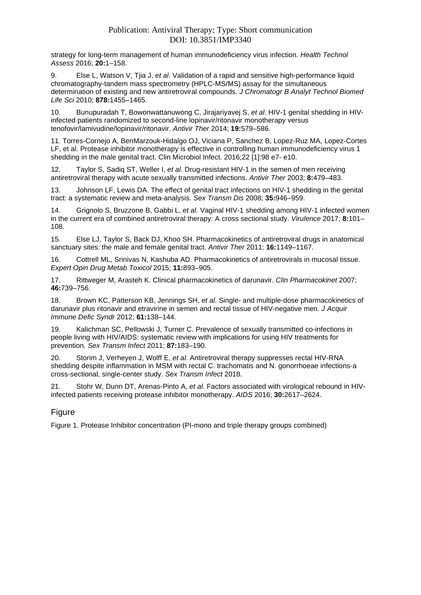strategy for long-term management of human immunodeficiency virus infection. *Health Technol Assess* 2016; **20:**1–158.

9. Else L, Watson V, Tjia J, *et al*. Validation of a rapid and sensitive high-performance liquid chromatography-tandem mass spectrometry (HPLC-MS/MS) assay for the simultaneous determination of existing and new antiretroviral compounds. *J Chromatogr B Analyt Technol Biomed Life Sci* 2010; **878:**1455–1465.

10. Bunupuradah T, Bowonwattanuwong C, Jirajariyavej S, *et al*. HIV-1 genital shedding in HIVinfected patients randomized to second-line lopinavir/ritonavir monotherapy versus tenofovir/lamivudine/lopinavir/ritonavir. *Antivir Ther* 2014; **19:**579–586.

11. Torres-Cornejo A, BenMarzouk-Hidalgo OJ, Viciana P, Sanchez B, Lopez-Ruz MA, Lopez-Cortes LF, et al. Protease inhibitor monotherapy is effective in controlling human immunodeficiency virus 1 shedding in the male genital tract. Clin Microbiol Infect. 2016;22 [1]:98 e7- e10.

12. Taylor S, Sadiq ST, Weller I, *et al*. Drug-resistant HIV-1 in the semen of men receiving antiretroviral therapy with acute sexually transmitted infections. *Antivir Ther* 2003; **8:**479–483[.](https://www.ncbi.nlm.nih.gov/entrez/query.fcgi?cmd=Retrieve&db=PubMed&list_uids=14640396&dopt=Abstract)

13. Johnson LF, Lewis DA. The effect of genital tract infections on HIV-1 shedding in the genital tract: a systematic review and meta-analysis. *Sex Transm Dis* 2008; **35:**946–959.

14. Grignolo S, Bruzzone B, Gabbi L, *et al*. Vaginal HIV-1 shedding among HIV-1 infected women in the current era of combined antiretroviral therapy: A cross sectional study. *Virulence* 2017; **8:**101– 108.

15. Else LJ, Taylor S, Back DJ, Khoo SH. Pharmacokinetics of antiretroviral drugs in anatomical sanctuary sites: the male and female genital tract. *Antivir Ther* 2011; **16:**1149–1167.

16. Cottrell ML, Srinivas N, Kashuba AD. Pharmacokinetics of antiretrovirals in mucosal tissue. *Expert Opin Drug Metab Toxicol* 2015; **11:**893–905.

17. Rittweger M, Arasteh K. Clinical pharmacokinetics of darunavir. *Clin Pharmacokinet* 2007; **46:**739–756.

18. Brown KC, Patterson KB, Jennings SH, *et al*. Single- and multiple-dose pharmacokinetics of darunavir plus ritonavir and etravirine in semen and rectal tissue of HIV-negative men. *J Acquir Immune Defic Syndr* 2012; **61:**138–144.

19. Kalichman SC, Pellowski J, Turner C. Prevalence of sexually transmitted co-infections in people living with HIV/AIDS: systematic review with implications for using HIV treatments for prevention. *Sex Transm Infect* 2011; **87:**183–190.

20. Storim J, Verheyen J, Wolff E, *et al*. Antiretroviral therapy suppresses rectal HIV-RNA shedding despite inflammation in MSM with rectal C. trachomatis and N. gonorrhoeae infections-a cross-sectional, single-center study. *Sex Transm Infect* 2018[.](https://www.ncbi.nlm.nih.gov/entrez/query.fcgi?cmd=Retrieve&db=PubMed&list_uids=29431149&dopt=Abstract)

21. Stohr W, Dunn DT, Arenas-Pinto A, *et al*. Factors associated with virological rebound in HIVinfected patients receiving protease inhibitor monotherapy. *AIDS* 2016; **30:**2617–2624.

# Figure

Figure 1. Protease Inhibitor concentration (PI-mono and triple therapy groups combined)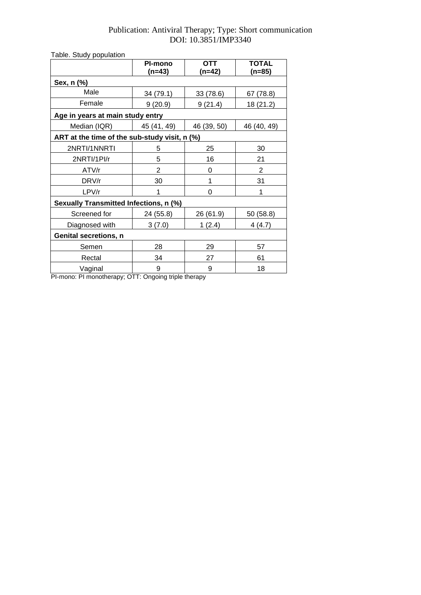| Table. Study population                       |                |             |              |
|-----------------------------------------------|----------------|-------------|--------------|
|                                               | <b>PI-mono</b> | <b>OTT</b>  | <b>TOTAL</b> |
|                                               | $(n=43)$       | (n=42)      | (n=85)       |
| Sex, n (%)                                    |                |             |              |
| Male                                          | 34 (79.1)      | 33 (78.6)   | 67 (78.8)    |
| Female                                        | 9(20.9)        | 9(21.4)     | 18 (21.2)    |
| Age in years at main study entry              |                |             |              |
| Median (IQR)                                  | 45 (41, 49)    | 46 (39, 50) | 46 (40, 49)  |
| ART at the time of the sub-study visit, n (%) |                |             |              |
| 2NRTI/1NNRTI                                  | 5              | 25          | 30           |
| 2NRTI/1PI/r                                   | 5              | 16          | 21           |
| ATV/r                                         | $\overline{2}$ | 0           | 2            |
| DRV/r                                         | 30             | 1           | 31           |
| LPV/r                                         | 1              | 0           | 1            |
| Sexually Transmitted Infections, n (%)        |                |             |              |
| Screened for                                  | 24 (55.8)      | 26 (61.9)   | 50 (58.8)    |
| Diagnosed with                                | 3(7.0)         | 1(2.4)      | 4 (4.7)      |
| <b>Genital secretions, n</b>                  |                |             |              |
| Semen                                         | 28             | 29          | 57           |
| Rectal                                        | 34             | 27          | 61           |
| Vaginal                                       | 9              | 9           | 18           |

PI-mono: PI monotherapy; OTT: Ongoing triple therapy